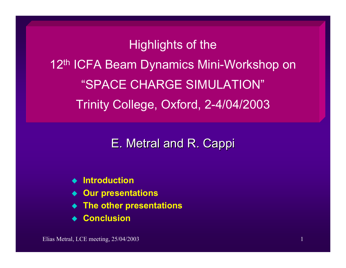Highlights of the 12th ICFA Beam Dynamics Mini-Workshop on "SPACE CHARGE SIMULATION"Trinity College, Oxford, 2-4/04/2003

# E. Metral and R. Cappi

- $\blacklozenge$ **Introduction**
- $\blacklozenge$ **Our presentations**
- ♦ **The other presentations**
- ♦ **Conclusion**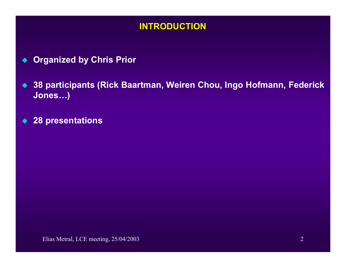#### **INTRODUCTION INTRODUCTION**

- **Organized by Chris Prior**
- **38 participants (Rick Baartman, Weiren Chou, Ingo Hofmann, Federick Jones…)**
- **28 presentations**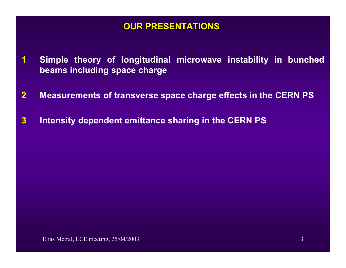#### **OUR PRESENTATIONS OUR PRESENTATIONS**

- **1 Simple theory of longitudinal microwave instability in bunched beams including space charge**
- **2Measurements of transverse space charge effects in the CERN PS**
- **3Intensity dependent emittance sharing in the CERN PS**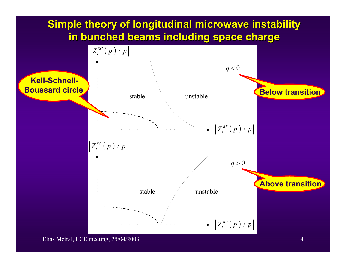# **Simple theory of longitudinal microwave instability in bunched beams including space charge in bunched beams including space charge**

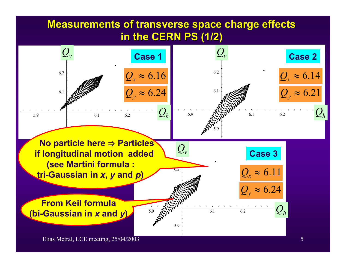# **Measurements of transverse space charge effects in the CERN PS (1/2) in the CERN PS (1/2)**



5.9

**if longitudinal motion added (see Martini formula : tri-Gaussian in** *x***,** *y* **and** *p***)**

**From Keil formula(bi-Gaussian in** *<sup>x</sup>* **and** *y***)**

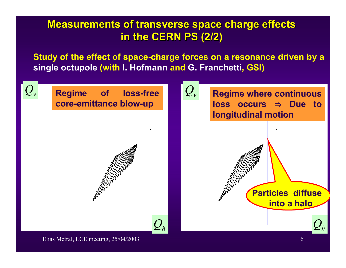# **Measurements of transverse space charge effects in the CERN PS (2/2) in the CERN PS (2/2)**

**Study of the effect of space-charge forces on a resonance driven by a single octupole (with I. Hofmann and G. Franchetti, GSI)**

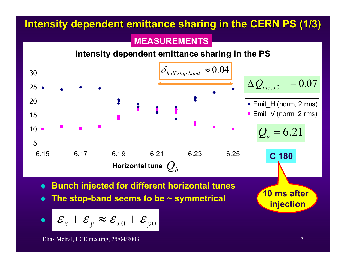### **Intensity dependent emittance sharing in the CERN PS (1/3)**

#### **MEASUREMENTS**

#### **Intensity dependent emittance sharing in the PS**



$$
\bullet \quad \varepsilon_x + \varepsilon_y \approx \varepsilon_{x0} + \varepsilon_{y0}
$$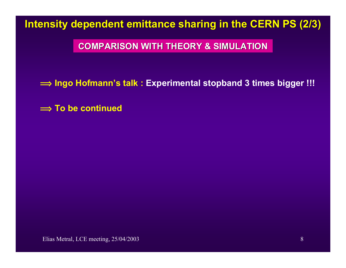**Intensity dependent emittance sharing in the CERN PS (2/3)** 

**COMPARISON WITH THEORY & SIM COMPARISON WITH THEORY & SIMULATION**

**î Ingo Hofmann's talk : Experimental stopband 3 times bigger !!!**

 $\implies$  To be continued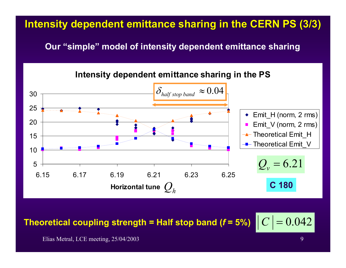### **Intensity dependent emittance sharing in the CERN PS (3/3)**

**Our "simple" model of intensity dependent emittance sharing** 

#### **Intensity dependent emittance sharing in the PS**



**Theoretical coupling strength = Half stop band (** $f = 5\%$ **)**  $|C| = 0.042$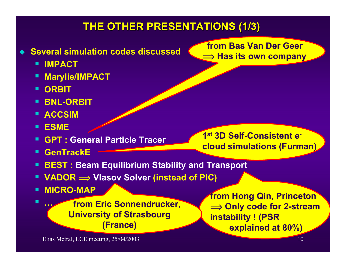# **THE OTHER PRESENTATIONS (1/3) THE OTHER PRESENTATIONS (1/3)**

- ♦ **Several simulation codes discussed**
	- $\blacksquare$  **IMPACT**
	- **Marylie/IMPACT**
	- $\blacksquare$ **D** ORBIT
	- **BNL-ORBIT**
	- **ACCSIM**
	- **ESME**

**…**

- **GPT : General Particle Tracer**
- **E** GenTrackE
- **BEST : Beam Equilibrium Stability and Transport**
- **VADOR î Vlasov Solver (instead of PIC)**
- **MICRO-MAP**

**from Eric Sonnendrucker, University of Strasbourg (France)**

**from Hong Qin, Princeton î Only code for 2-stream instability ! (PSR explained at 80%)**

**from Bas Van Der Geer î Has its own company**

**1st 3D Self-Consistent ecloud simulations (Furman)**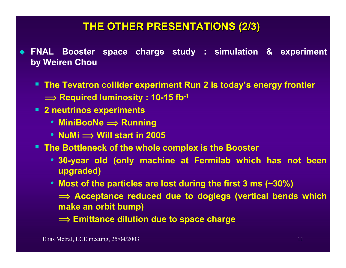# **THE OTHER PRESENTATIONS (2/3) THE OTHER PRESENTATIONS (2/3)**

- **FNAL Booster space charge study : simulation & experiment by Weiren Chou**
	- п **The Tevatron collider experiment Run 2 is today's energy frontier**  $\implies$  Required luminosity : 10-15 fb<sup>-1</sup>
	- **2 neutrinos experiments**
		- **MiniBooNe î Running**
		- **NuMi î Will start in 2005**
	- **The Bottleneck of the whole complex is the Booster**
		- **30-year old (only machine at Fermilab which has not been upgraded)**
		- **Most of the particles are lost during the first 3 ms (~30%)**

 $\implies$  Acceptance reduced due to doglegs (vertical bends which **make an orbit bump)**

 $\implies$  Emittance dilution due to space charge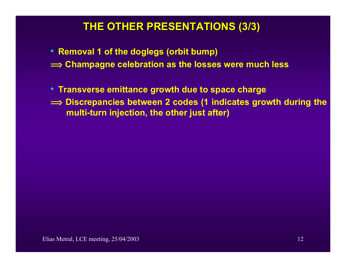# **THE OTHER PRESENTATIONS (3/3) THE OTHER PRESENTATIONS (3/3)**

- **Removal 1 of the doglegs (orbit bump)**   $\implies$  Champagne celebration as the losses were much less
- **Transverse emittance growth due to space charge**
- $\implies$  Discrepancies between 2 codes (1 indicates growth during the **multi-turn injection, the other just after)**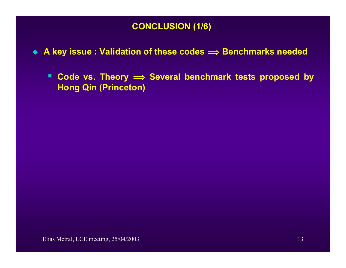### **CONCLUSION (1/6) CONCLUSION (1/6)**

- **A key issue : Validation of these codes <sup>î</sup> Benchmarks needed**
	- Code vs. Theory  $\implies$  Several benchmark tests proposed by **Hong Qin (Princeton)**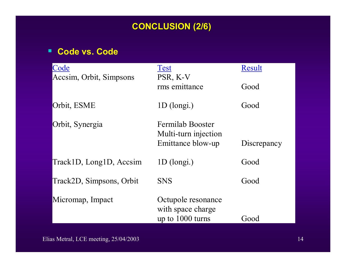### **CONCLUSION (2/6) CONCLUSION (2/6)**

#### **Code vs. Code**

| Code<br>Accsim, Orbit, Simpsons | <b>Test</b><br>PSR, K-V                                       | <b>Result</b> |
|---------------------------------|---------------------------------------------------------------|---------------|
|                                 | rms emittance                                                 | Good          |
| Orbit, ESME                     | $1D$ (longi.)                                                 | Good          |
| Orbit, Synergia                 | Fermilab Booster<br>Multi-turn injection<br>Emittance blow-up | Discrepancy   |
| Track1D, Long1D, Accsim         | $1D$ (longi.)                                                 | Good          |
| Track2D, Simpsons, Orbit        | <b>SNS</b>                                                    | Good          |
| Micromap, Impact                | Octupole resonance<br>with space charge<br>up to 1000 turns   | Good          |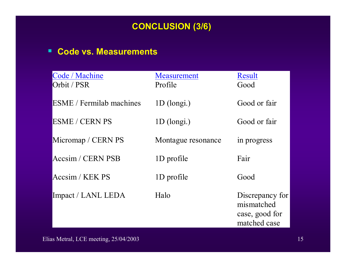### **CONCLUSION (3/6) CONCLUSION (3/6)**

#### **Code vs. Measurements**

| Code / Machine<br>Orbit / PSR   | <b>Measurement</b><br>Profile | Result<br>Good                                                  |
|---------------------------------|-------------------------------|-----------------------------------------------------------------|
| <b>ESME</b> / Fermilab machines | $1D$ (longi.)                 | Good or fair                                                    |
| <b>ESME / CERN PS</b>           | $1D$ (longi.)                 | Good or fair                                                    |
| Micromap / CERN PS              | Montague resonance            | in progress                                                     |
| <b>Accsim / CERN PSB</b>        | 1D profile                    | Fair                                                            |
| Accsim / KEK PS                 | 1D profile                    | Good                                                            |
| Impact / LANL LEDA              | Halo                          | Discrepancy for<br>mismatched<br>case, good for<br>matched case |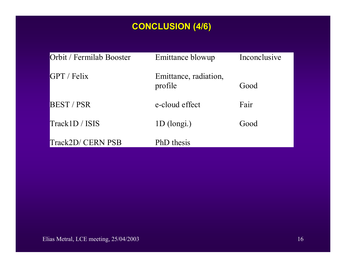### **CONCLUSION (4/6) CONCLUSION (4/6)**

| Orbit / Fermilab Booster | Emittance blowup                 | Inconclusive |
|--------------------------|----------------------------------|--------------|
| GPT / Felix              | Emittance, radiation,<br>profile | Good         |
| <b>BEST/PSR</b>          | e-cloud effect                   | Fair         |
| Track1D / ISIS           | $1D$ (longi.)                    | Good         |
| <b>Track2D/ CERN PSB</b> | PhD thesis                       |              |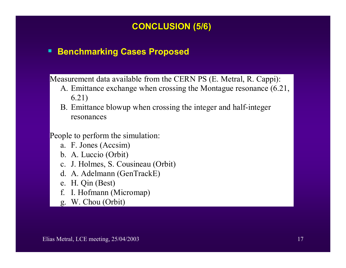### **CONCLUSION (5/6) CONCLUSION (5/6)**

#### п **Benchmarking Cases Proposed**

Measurement data available from the CERN PS (E. Metral, R. Cappi):

- A. Emittance exchange when crossing the Montague resonance (6.21, 6.21)
- B. Emittance blowup when crossing the integer and half-integer resonances

People to perform the simulation:

- a. F. Jones (Accsim)
- b. A. Luccio (Orbit)
- c. J. Holmes, S. Cousineau (Orbit)
- d. A. Adelmann (GenTrackE)
- e. H. Qin (Best)
- f. I. Hofmann (Micromap)
- g. W. Chou (Orbit)